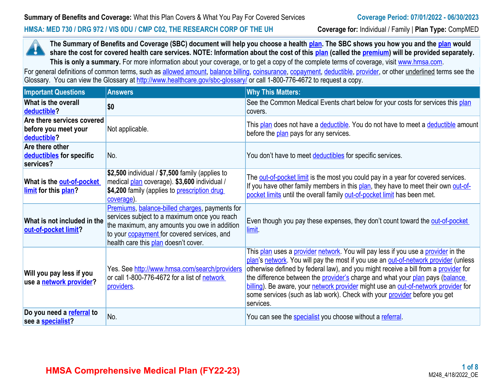#### **HMSA: MED 730 / DRG 972 / VIS 0DU / CMP C02, THE RESEARCH CORP OF THE UH Coverage for:** Individual / Family | **Plan Type:** CompMED

**The Summary of Benefits and Coverage (SBC) document will help you choose a health [plan.](https://www.healthcare.gov/sbc-glossary/#plan) The SBC shows you how you and the [plan](https://www.healthcare.gov/sbc-glossary/#plan) would**  н **share the cost for covered health care services. NOTE: Information about the cost of this <b>plan** (called the **premium**) will be provided separately. This is only a summary. For more information about your coverage, or to get a copy of the complete terms of coverage, visit [www.hmsa.com](http://www.hmsa.com/).

For general definitions of common terms, such as [allowed amount](https://www.healthcare.gov/sbc-glossary/#allowed-amount), [balance billing,](https://www.healthcare.gov/sbc-glossary/#balance-billing) [coinsurance,](https://www.healthcare.gov/sbc-glossary/#coinsurance) [copayment](https://www.healthcare.gov/sbc-glossary/#copayment), [deductible](https://www.healthcare.gov/sbc-glossary/#deductible), [provider,](https://www.healthcare.gov/sbc-glossary/#provider) or other underlined terms see the Glossary. You can view the Glossary at <http://www.healthcare.gov/sbc-glossary/> or call 1-800-776-4672 to request a copy.

| <b>Important Questions</b>                                        | <b>Answers</b>                                                                                                                                                                                                                               | <b>Why This Matters:</b>                                                                                                                                                                                                                                                                                                                                                                                                                                                                                                         |
|-------------------------------------------------------------------|----------------------------------------------------------------------------------------------------------------------------------------------------------------------------------------------------------------------------------------------|----------------------------------------------------------------------------------------------------------------------------------------------------------------------------------------------------------------------------------------------------------------------------------------------------------------------------------------------------------------------------------------------------------------------------------------------------------------------------------------------------------------------------------|
| What is the overall<br>deductible?                                | \$0                                                                                                                                                                                                                                          | See the Common Medical Events chart below for your costs for services this plan<br>covers.                                                                                                                                                                                                                                                                                                                                                                                                                                       |
| Are there services covered<br>before you meet your<br>deductible? | Not applicable.                                                                                                                                                                                                                              | This plan does not have a deductible. You do not have to meet a deductible amount<br>before the plan pays for any services.                                                                                                                                                                                                                                                                                                                                                                                                      |
| Are there other<br>deductibles for specific<br>services?          | No.                                                                                                                                                                                                                                          | You don't have to meet deductibles for specific services.                                                                                                                                                                                                                                                                                                                                                                                                                                                                        |
| What is the out-of-pocket<br>limit for this plan?                 | \$2,500 individual / \$7,500 family (applies to<br>medical plan coverage). \$3,600 individual /<br>\$4,200 family (applies to prescription drug<br>coverage).                                                                                | The out-of-pocket limit is the most you could pay in a year for covered services.<br>If you have other family members in this plan, they have to meet their own out-of-<br>pocket limits until the overall family out-of-pocket limit has been met.                                                                                                                                                                                                                                                                              |
| What is not included in the<br>out-of-pocket limit?               | Premiums, balance-billed charges, payments for<br>services subject to a maximum once you reach<br>the maximum, any amounts you owe in addition<br>to your <b>copayment</b> for covered services, and<br>health care this plan doesn't cover. | Even though you pay these expenses, they don't count toward the out-of-pocket<br>limit                                                                                                                                                                                                                                                                                                                                                                                                                                           |
| Will you pay less if you<br>use a network provider?               | Yes. See http://www.hmsa.com/search/providers<br>or call 1-800-776-4672 for a list of network<br>providers.                                                                                                                                  | This plan uses a provider network. You will pay less if you use a provider in the<br>plan's network. You will pay the most if you use an out-of-network provider (unless<br>otherwise defined by federal law), and you might receive a bill from a provider for<br>the difference between the provider's charge and what your plan pays (balance<br>billing). Be aware, your network provider might use an out-of-network provider for<br>some services (such as lab work). Check with your provider before you get<br>services. |
| Do you need a referral to<br>see a specialist?                    | No.                                                                                                                                                                                                                                          | You can see the <b>specialist</b> you choose without a referral.                                                                                                                                                                                                                                                                                                                                                                                                                                                                 |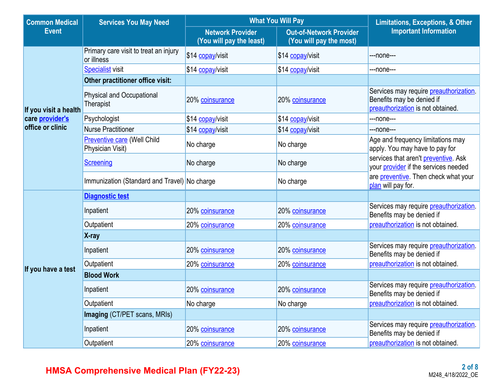| <b>Common Medical</b>  | <b>Services You May Need</b>                           | <b>What You Will Pay</b>                            | <b>Limitations, Exceptions, &amp; Other</b>               |                                                                                                                  |  |
|------------------------|--------------------------------------------------------|-----------------------------------------------------|-----------------------------------------------------------|------------------------------------------------------------------------------------------------------------------|--|
| <b>Event</b>           |                                                        | <b>Network Provider</b><br>(You will pay the least) | <b>Out-of-Network Provider</b><br>(You will pay the most) | <b>Important Information</b>                                                                                     |  |
|                        | Primary care visit to treat an injury<br>or illness    | \$14 copay/visit                                    | \$14 copay/visit                                          | ---none---                                                                                                       |  |
|                        | <b>Specialist visit</b>                                | \$14 copay/visit                                    | \$14 copay/visit                                          | ---none---                                                                                                       |  |
|                        | Other practitioner office visit:                       |                                                     |                                                           |                                                                                                                  |  |
| If you visit a health  | <b>Physical and Occupational</b><br>Therapist          | 20% coinsurance                                     | 20% coinsurance                                           | Services may require <b>preauthorization</b> .<br>Benefits may be denied if<br>preauthorization is not obtained. |  |
| care <i>provider's</i> | Psychologist                                           | \$14 copay/visit                                    | \$14 copay/visit                                          | ---none---                                                                                                       |  |
| office or clinic       | <b>Nurse Practitioner</b>                              | \$14 copay/visit                                    | \$14 copay/visit                                          | ---none---                                                                                                       |  |
|                        | <b>Preventive care (Well Child</b><br>Physician Visit) | No charge                                           | No charge                                                 | Age and frequency limitations may<br>apply. You may have to pay for                                              |  |
|                        | <b>Screening</b>                                       | No charge                                           | No charge                                                 | services that aren't preventive. Ask<br>your provider if the services needed                                     |  |
|                        | Immunization (Standard and Travel) No charge           |                                                     | No charge                                                 | are <b>preventive</b> . Then check what your<br>plan will pay for.                                               |  |
|                        | <b>Diagnostic test</b>                                 |                                                     |                                                           |                                                                                                                  |  |
|                        | Inpatient                                              | 20% coinsurance                                     | 20% coinsurance                                           | Services may require <b>preauthorization</b> .<br>Benefits may be denied if                                      |  |
|                        | Outpatient                                             | 20% coinsurance                                     | 20% coinsurance                                           | preauthorization is not obtained.                                                                                |  |
|                        | X-ray                                                  |                                                     |                                                           |                                                                                                                  |  |
|                        | Inpatient                                              | 20% coinsurance                                     | 20% coinsurance                                           | Services may require <b>preauthorization</b> .<br>Benefits may be denied if                                      |  |
| If you have a test     | Outpatient                                             | 20% coinsurance                                     | 20% coinsurance                                           | preauthorization is not obtained.                                                                                |  |
|                        | <b>Blood Work</b>                                      |                                                     |                                                           |                                                                                                                  |  |
|                        | Inpatient                                              | 20% coinsurance                                     | 20% coinsurance                                           | Services may require <b>preauthorization</b> .<br>Benefits may be denied if                                      |  |
|                        | Outpatient                                             | No charge                                           | No charge                                                 | preauthorization is not obtained.                                                                                |  |
|                        | Imaging (CT/PET scans, MRIs)                           |                                                     |                                                           |                                                                                                                  |  |
|                        | Inpatient                                              | 20% coinsurance                                     | 20% coinsurance                                           | Services may require preauthorization.<br>Benefits may be denied if                                              |  |
|                        | Outpatient                                             | 20% coinsurance                                     | 20% coinsurance                                           | preauthorization is not obtained.                                                                                |  |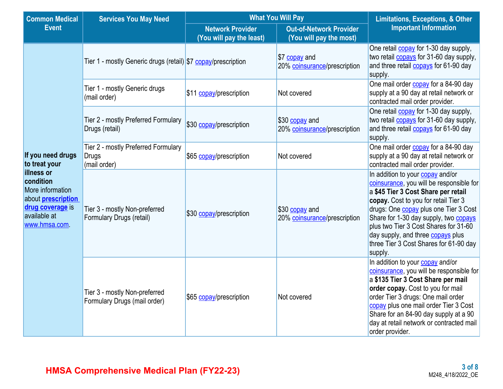| <b>Common Medical</b>                                                                                                               | <b>Services You May Need</b>                                        | <b>What You Will Pay</b>                            | <b>Limitations, Exceptions, &amp; Other</b>               |                                                                                                                                                                                                                                                                                                                                                                                                |  |
|-------------------------------------------------------------------------------------------------------------------------------------|---------------------------------------------------------------------|-----------------------------------------------------|-----------------------------------------------------------|------------------------------------------------------------------------------------------------------------------------------------------------------------------------------------------------------------------------------------------------------------------------------------------------------------------------------------------------------------------------------------------------|--|
| <b>Event</b>                                                                                                                        |                                                                     | <b>Network Provider</b><br>(You will pay the least) | <b>Out-of-Network Provider</b><br>(You will pay the most) | <b>Important Information</b>                                                                                                                                                                                                                                                                                                                                                                   |  |
|                                                                                                                                     | Tier 1 - mostly Generic drugs (retail) \$7 copay/prescription       |                                                     | \$7 copay and<br>20% coinsurance/prescription             | One retail <b>copay</b> for 1-30 day supply,<br>two retail <b>copays</b> for 31-60 day supply,<br>and three retail <b>copays</b> for 61-90 day<br>supply.                                                                                                                                                                                                                                      |  |
|                                                                                                                                     | Tier 1 - mostly Generic drugs<br>(mail order)                       | \$11 copay/prescription                             | Not covered                                               | One mail order copay for a 84-90 day<br>supply at a 90 day at retail network or<br>contracted mail order provider.                                                                                                                                                                                                                                                                             |  |
|                                                                                                                                     | Tier 2 - mostly Preferred Formulary<br>Drugs (retail)               | \$30 copay/prescription                             | \$30 copay and<br>20% coinsurance/prescription            | One retail <b>copay</b> for 1-30 day supply,<br>two retail <b>copays</b> for 31-60 day supply,<br>and three retail <b>copays</b> for 61-90 day<br>supply.                                                                                                                                                                                                                                      |  |
| If you need drugs<br>to treat your                                                                                                  | Tier 2 - mostly Preferred Formulary<br><b>Drugs</b><br>(mail order) | \$65 copay/prescription                             | Not covered                                               | One mail order <b>copay</b> for a 84-90 day<br>supply at a 90 day at retail network or<br>contracted mail order provider.                                                                                                                                                                                                                                                                      |  |
| <b>illness or</b><br>condition<br>More information<br>about <b>prescription</b><br>drug coverage is<br>available at<br>www.hmsa.com | Tier 3 - mostly Non-preferred<br>Formulary Drugs (retail)           | \$30 copay/prescription                             | \$30 copay and<br>20% coinsurance/prescription            | In addition to your copay and/or<br>coinsurance, you will be responsible for<br>a \$45 Tier 3 Cost Share per retail<br>copay. Cost to you for retail Tier 3<br>drugs: One <b>copay</b> plus one Tier 3 Cost<br>Share for 1-30 day supply, two copays<br>plus two Tier 3 Cost Shares for 31-60<br>day supply, and three <b>copays</b> plus<br>three Tier 3 Cost Shares for 61-90 day<br>supply. |  |
|                                                                                                                                     | Tier 3 - mostly Non-preferred<br>Formulary Drugs (mail order)       | \$65 copay/prescription                             | Not covered                                               | In addition to your copay and/or<br>coinsurance, you will be responsible for<br>a \$135 Tier 3 Cost Share per mail<br>order copay. Cost to you for mail<br>order Tier 3 drugs: One mail order<br>copay plus one mail order Tier 3 Cost<br>Share for an 84-90 day supply at a 90<br>day at retail network or contracted mail<br>order provider.                                                 |  |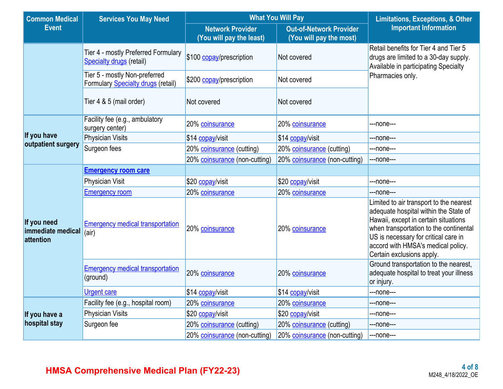| <b>Common Medical</b>                         | <b>Services You May Need</b>                                               | <b>What You Will Pay</b>                            | <b>Limitations, Exceptions, &amp; Other</b>               |                                                                                                                                                                                                                                                                               |  |  |
|-----------------------------------------------|----------------------------------------------------------------------------|-----------------------------------------------------|-----------------------------------------------------------|-------------------------------------------------------------------------------------------------------------------------------------------------------------------------------------------------------------------------------------------------------------------------------|--|--|
| <b>Event</b>                                  |                                                                            | <b>Network Provider</b><br>(You will pay the least) | <b>Out-of-Network Provider</b><br>(You will pay the most) | <b>Important Information</b>                                                                                                                                                                                                                                                  |  |  |
|                                               | Tier 4 - mostly Preferred Formulary<br><b>Specialty drugs (retail)</b>     | \$100 copay/prescription                            | Not covered                                               | Retail benefits for Tier 4 and Tier 5<br>drugs are limited to a 30-day supply.<br>Available in participating Specialty                                                                                                                                                        |  |  |
|                                               | Tier 5 - mostly Non-preferred<br><b>Formulary Specialty drugs (retail)</b> | \$200 copay/prescription                            | Not covered                                               | Pharmacies only.                                                                                                                                                                                                                                                              |  |  |
|                                               | Tier 4 & 5 (mail order)                                                    | Not covered                                         | Not covered                                               |                                                                                                                                                                                                                                                                               |  |  |
|                                               | Facility fee (e.g., ambulatory<br>surgery center)                          | 20% coinsurance                                     | 20% coinsurance                                           | ---none---                                                                                                                                                                                                                                                                    |  |  |
| If you have                                   | <b>Physician Visits</b>                                                    | \$14 copay/visit                                    | \$14 copay/visit                                          | ---none---                                                                                                                                                                                                                                                                    |  |  |
| outpatient surgery                            | Surgeon fees                                                               | 20% coinsurance (cutting)                           | 20% coinsurance (cutting)                                 | ---none---                                                                                                                                                                                                                                                                    |  |  |
|                                               |                                                                            | 20% coinsurance (non-cutting)                       | 20% coinsurance (non-cutting)                             | ---none---                                                                                                                                                                                                                                                                    |  |  |
|                                               | <b>Emergency room care</b>                                                 |                                                     |                                                           |                                                                                                                                                                                                                                                                               |  |  |
|                                               | Physician Visit                                                            | \$20 copay/visit                                    | \$20 copay/visit                                          | ---none---                                                                                                                                                                                                                                                                    |  |  |
|                                               | <b>Emergency room</b>                                                      | 20% coinsurance                                     | 20% coinsurance                                           | ---none---                                                                                                                                                                                                                                                                    |  |  |
| If you need<br>immediate medical<br>attention | <b>Emergency medical transportation</b><br>(air)                           | 20% coinsurance                                     | 20% coinsurance                                           | Limited to air transport to the nearest<br>adequate hospital within the State of<br>Hawaii, except in certain situations<br>when transportation to the continental<br>US is necessary for critical care in<br>accord with HMSA's medical policy.<br>Certain exclusions apply. |  |  |
|                                               | <b>Emergency medical transportation</b><br>(ground)                        | 20% coinsurance                                     | 20% coinsurance                                           | Ground transportation to the nearest,<br>adequate hospital to treat your illness<br>or injury.                                                                                                                                                                                |  |  |
|                                               | <b>Urgent care</b>                                                         | \$14 copay/visit                                    | \$14 copay/visit                                          | ---none---                                                                                                                                                                                                                                                                    |  |  |
|                                               | Facility fee (e.g., hospital room)                                         | 20% coinsurance                                     | 20% coinsurance                                           | ---none---                                                                                                                                                                                                                                                                    |  |  |
| If you have a                                 | <b>Physician Visits</b>                                                    | \$20 copay/visit                                    | \$20 copay/visit                                          | ---none---                                                                                                                                                                                                                                                                    |  |  |
| hospital stay                                 | Surgeon fee                                                                | 20% coinsurance (cutting)                           | 20% coinsurance (cutting)                                 | ---none---                                                                                                                                                                                                                                                                    |  |  |
|                                               |                                                                            | 20% coinsurance (non-cutting)                       | 20% coinsurance (non-cutting)                             | ---none---                                                                                                                                                                                                                                                                    |  |  |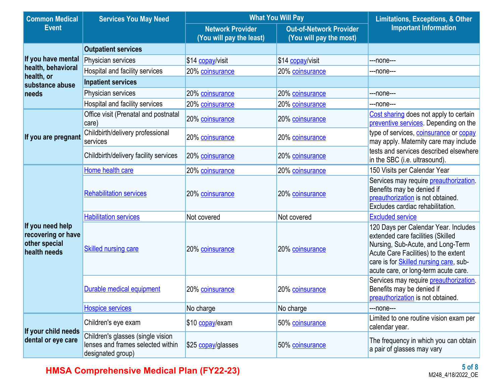| <b>Common Medical</b>                                                   | <b>Services You May Need</b>                                                                | <b>What You Will Pay</b>                            | <b>Limitations, Exceptions, &amp; Other</b>               |                                                                                                                                                                                                                                                  |  |
|-------------------------------------------------------------------------|---------------------------------------------------------------------------------------------|-----------------------------------------------------|-----------------------------------------------------------|--------------------------------------------------------------------------------------------------------------------------------------------------------------------------------------------------------------------------------------------------|--|
| <b>Event</b>                                                            |                                                                                             | <b>Network Provider</b><br>(You will pay the least) | <b>Out-of-Network Provider</b><br>(You will pay the most) | <b>Important Information</b>                                                                                                                                                                                                                     |  |
|                                                                         | <b>Outpatient services</b>                                                                  |                                                     |                                                           |                                                                                                                                                                                                                                                  |  |
| If you have mental                                                      | Physician services                                                                          | \$14 copay/visit                                    | \$14 copay/visit                                          | ---none---                                                                                                                                                                                                                                       |  |
| health, behavioral<br>health, or                                        | Hospital and facility services                                                              | 20% coinsurance                                     | 20% coinsurance                                           | ---none---                                                                                                                                                                                                                                       |  |
| substance abuse                                                         | <b>Inpatient services</b>                                                                   |                                                     |                                                           |                                                                                                                                                                                                                                                  |  |
| needs                                                                   | Physician services                                                                          | 20% coinsurance                                     | 20% coinsurance                                           | ---none---                                                                                                                                                                                                                                       |  |
|                                                                         | Hospital and facility services                                                              | 20% coinsurance                                     | 20% coinsurance                                           | ---none---                                                                                                                                                                                                                                       |  |
|                                                                         | Office visit (Prenatal and postnatal<br>care)                                               | 20% coinsurance                                     | 20% coinsurance                                           | Cost sharing does not apply to certain<br>preventive services. Depending on the                                                                                                                                                                  |  |
| If you are pregnant                                                     | Childbirth/delivery professional<br>services                                                | 20% coinsurance                                     | 20% coinsurance                                           | type of services, coinsurance or copay<br>may apply. Maternity care may include                                                                                                                                                                  |  |
|                                                                         | Childbirth/delivery facility services                                                       | 20% coinsurance                                     | 20% coinsurance                                           | tests and services described elsewhere<br>in the SBC (i.e. ultrasound).                                                                                                                                                                          |  |
|                                                                         | Home health care                                                                            | 20% coinsurance                                     | 20% coinsurance                                           | 150 Visits per Calendar Year                                                                                                                                                                                                                     |  |
|                                                                         | <b>Rehabilitation services</b>                                                              | 20% coinsurance                                     | 20% coinsurance                                           | Services may require <b>preauthorization</b> .<br>Benefits may be denied if<br>preauthorization is not obtained.<br>Excludes cardiac rehabilitation.                                                                                             |  |
|                                                                         | <b>Habilitation services</b>                                                                | Not covered                                         | Not covered                                               | <b>Excluded service</b>                                                                                                                                                                                                                          |  |
| If you need help<br>recovering or have<br>other special<br>health needs | <b>Skilled nursing care</b>                                                                 | 20% coinsurance                                     | 20% coinsurance                                           | 120 Days per Calendar Year. Includes<br>extended care facilities (Skilled<br>Nursing, Sub-Acute, and Long-Term<br>Acute Care Facilities) to the extent<br>care is for <b>Skilled nursing care</b> , sub-<br>acute care, or long-term acute care. |  |
|                                                                         | Durable medical equipment                                                                   | 20% coinsurance                                     | 20% coinsurance                                           | Services may require preauthorization.<br>Benefits may be denied if<br>preauthorization is not obtained.                                                                                                                                         |  |
|                                                                         | <b>Hospice services</b>                                                                     | No charge                                           | No charge                                                 | ---none---                                                                                                                                                                                                                                       |  |
| If your child needs                                                     | Children's eye exam                                                                         | \$10 copay/exam                                     | 50% coinsurance                                           | Limited to one routine vision exam per<br>calendar year.                                                                                                                                                                                         |  |
| dental or eye care                                                      | Children's glasses (single vision<br>lenses and frames selected within<br>designated group) | \$25 copay/glasses                                  | 50% coinsurance                                           | The frequency in which you can obtain<br>a pair of glasses may vary                                                                                                                                                                              |  |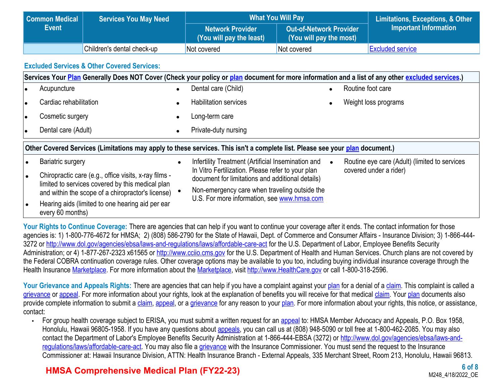| Common Medical | <b>Services You May Need</b> | <b>What You Will Pay</b>                            | <b>Limitations, Exceptions, &amp; Other</b>        |                         |
|----------------|------------------------------|-----------------------------------------------------|----------------------------------------------------|-------------------------|
| <b>Event</b>   |                              | <b>Network Provider</b><br>(You will pay the least) | Out-of-Network Provider<br>(You will pay the most) | Important Information   |
|                |                              |                                                     |                                                    |                         |
|                | Children's dental check-up   | Not covered                                         | Not covered                                        | <b>Excluded service</b> |

### **Excluded Services & Other Covered Services:**

|                                                                                                                              | Services Your Plan Generally Does NOT Cover (Check your policy or plan document for more information and a list of any other excluded services.) |           |                                                                                                       |  |                                               |  |  |
|------------------------------------------------------------------------------------------------------------------------------|--------------------------------------------------------------------------------------------------------------------------------------------------|-----------|-------------------------------------------------------------------------------------------------------|--|-----------------------------------------------|--|--|
|                                                                                                                              | Acupuncture                                                                                                                                      |           | Dental care (Child)                                                                                   |  | Routine foot care                             |  |  |
|                                                                                                                              | Cardiac rehabilitation                                                                                                                           | $\bullet$ | <b>Habilitation services</b>                                                                          |  | Weight loss programs                          |  |  |
|                                                                                                                              | Cosmetic surgery                                                                                                                                 |           | Long-term care                                                                                        |  |                                               |  |  |
|                                                                                                                              | Dental care (Adult)                                                                                                                              | $\bullet$ | Private-duty nursing                                                                                  |  |                                               |  |  |
| Other Covered Services (Limitations may apply to these services. This isn't a complete list. Please see your plan document.) |                                                                                                                                                  |           |                                                                                                       |  |                                               |  |  |
|                                                                                                                              | <b>Bariatric surgery</b>                                                                                                                         | $\bullet$ | Infertility Treatment (Artificial Insemination and                                                    |  | Routine eye care (Adult) (limited to services |  |  |
|                                                                                                                              | Chiropractic care (e.g., office visits, x-ray films -<br>limited to services covered by this medical plan                                        |           | In Vitro Fertilization. Please refer to your plan<br>document for limitations and additional details) |  | covered under a rider)                        |  |  |
|                                                                                                                              | and within the scope of a chiropractor's license)                                                                                                |           | Non-emergency care when traveling outside the                                                         |  |                                               |  |  |
|                                                                                                                              | Hearing aids (limited to one hearing aid per ear<br>every 60 months)                                                                             |           | U.S. For more information, see www.hmsa.com                                                           |  |                                               |  |  |

Your Rights to Continue Coverage: There are agencies that can help if you want to continue your coverage after it ends. The contact information for those agencies is: 1) 1-800-776-4672 for HMSA; 2) (808) 586-2790 for the State of Hawaii, Dept. of Commerce and Consumer Affairs - Insurance Division; 3) 1-866-444 3272 or <http://www.dol.gov/agencies/ebsa/laws-and-regulations/laws/affordable-care-act>for the U.S. Department of Labor, Employee Benefits Security Administration; or 4) 1-877-267-2323 x61565 or [http://www.cciio.cms.gov](http://www.cciio.cms.gov/) for the U.S. Department of Health and Human Services. Church plans are not covered by the Federal COBRA continuation coverage rules. Other coverage options may be available to you too, including buying individual insurance coverage through the Health Insurance [Marketplace](https://www.healthcare.gov/sbc-glossary/#marketplace). For more information about the [Marketplace](https://www.healthcare.gov/sbc-glossary/#marketplace), visit [http://www.HealthCare.gov](http://www.healthcare.gov/) or call 1-800-318-2596.

Your Grievance and Appeals Rights: There are agencies that can help if you have a complaint against your [plan](https://www.healthcare.gov/sbc-glossary/#plan) for a denial of a [claim](https://www.healthcare.gov/sbc-glossary/#claim). This complaint is called a [grievance](https://www.healthcare.gov/sbc-glossary/#grievance) or [appeal](https://www.healthcare.gov/sbc-glossary/#appeal). For more information about your rights, look at the explanation of benefits you will receive for that medical [claim](https://www.healthcare.gov/sbc-glossary/#claim). Your [plan](https://www.healthcare.gov/sbc-glossary/#plan) documents also provide complete information to submit a [claim,](https://www.healthcare.gov/sbc-glossary/#claim) [appeal,](https://www.healthcare.gov/sbc-glossary/#appeal) or a [grievance](https://www.healthcare.gov/sbc-glossary/#grievance) for any reason to your [plan](https://www.healthcare.gov/sbc-glossary/#plan). For more information about your rights, this notice, or assistance, contact:

• For group health coverage subject to ERISA, you must submit a written request for an [appeal](https://www.healthcare.gov/sbc-glossary/#appeal) to: HMSA Member Advocacy and Appeals, P.O. Box 1958, Honolulu, Hawaii 96805-1958. If you have any questions about **[appeals](https://www.healthcare.gov/sbc-glossary/#appeal)**, you can call us at (808) 948-5090 or toll free at 1-800-462-2085. You may also contact the Department of Labor's Employee Benefits Security Administration at 1-866-444-EBSA (3272) or [http://www.dol.gov/agencies/ebsa/laws-and](http://www.dol.gov/agencies/ebsa/laws-and-regulations/laws/affordable-care-act)[regulations/laws/affordable-care-act.](http://www.dol.gov/agencies/ebsa/laws-and-regulations/laws/affordable-care-act) You may also file a [grievance](https://www.healthcare.gov/sbc-glossary/#grievance) with the Insurance Commissioner. You must send the request to the Insurance Commissioner at: Hawaii Insurance Division, ATTN: Health Insurance Branch - External Appeals, 335 Merchant Street, Room 213, Honolulu, Hawaii 96813.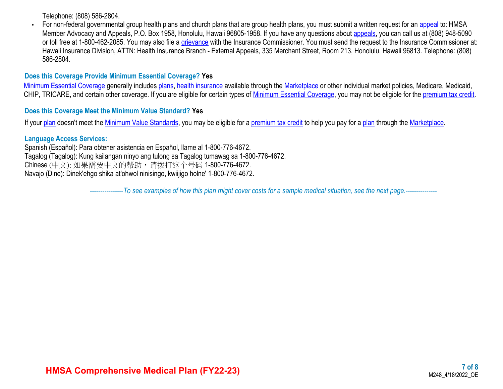Telephone: (808) 586-2804.

• For non-federal governmental group health plans and church plans that are group health plans, you must submit a written request for an [appeal](https://www.healthcare.gov/sbc-glossary/#appeal) to: HMSA Member Advocacy and Appeals, P.O. Box 1958, Honolulu, Hawaii 96805-1958. If you have any questions about [appeals](https://www.healthcare.gov/sbc-glossary/#appeal), you can call us at (808) 948-5090 or toll free at 1-800-462-2085. You may also file a [grievance](https://www.healthcare.gov/sbc-glossary/#grievance) with the Insurance Commissioner. You must send the request to the Insurance Commissioner at: Hawaii Insurance Division, ATTN: Health Insurance Branch - External Appeals, 335 Merchant Street, Room 213, Honolulu, Hawaii 96813. Telephone: (808) 586-2804.

#### **Does this Coverage Provide Minimum Essential Coverage? Yes**

[Minimum Essential Coverage](https://www.healthcare.gov/sbc-glossary/#minimum-essential-coverage) generally includes [plans](https://www.healthcare.gov/sbc-glossary/#plan), [health insurance](https://www.healthcare.gov/sbc-glossary/#health-insurance) available through the [Marketplace](https://www.healthcare.gov/sbc-glossary/#marketplace) or other individual market policies, Medicare, Medicaid, CHIP, TRICARE, and certain other coverage. If you are eligible for certain types of [Minimum Essential Coverage](https://www.healthcare.gov/sbc-glossary/#minimum-essential-coverage), you may not be eligible for the [premium tax credit.](https://www.healthcare.gov/sbc-glossary/#premium-tax-credits)

#### **Does this Coverage Meet the Minimum Value Standard? Yes**

If your [plan](https://www.healthcare.gov/sbc-glossary/#plan) doesn't meet the [Minimum Value Standards,](https://www.healthcare.gov/sbc-glossary/#minimum-value-standard) you may be eligible for a [premium tax credit](https://www.healthcare.gov/sbc-glossary/#premium-tax-credits) to help you pay for a [plan](https://www.healthcare.gov/sbc-glossary/#plan) through the [Marketplace.](https://www.healthcare.gov/sbc-glossary/#marketplace)

#### **Language Access Services:**

Spanish (Español): Para obtener asistencia en Español, llame al 1-800-776-4672. Tagalog (Tagalog): Kung kailangan ninyo ang tulong sa Tagalog tumawag sa 1-800-776-4672. Chinese (中文): 如果需要中文的帮助,请拨打这个号码 1-800-776-4672. Navajo (Dine): Dinek'ehgo shika at'ohwol ninisingo, kwiijigo holne' 1-800-776-4672.

----------------*To see examples of how this plan might cover costs for a sample medical situation, see the next page.-----------*----